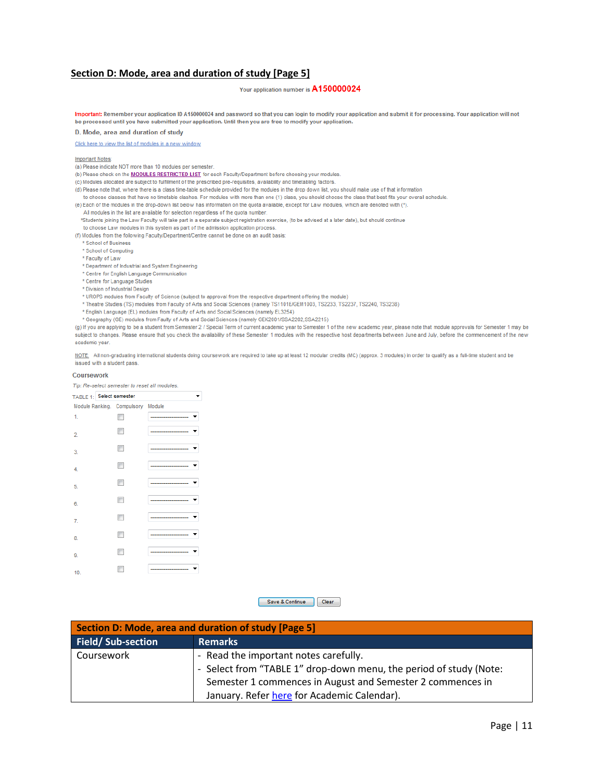## Section D: Mode, area and duration of study [Page 5]

# Your application number is A150000024

Important: Remember your application ID A150000024 and password so that you can login to modify your application and submit it for processing. Your application will not be processed until you have submitted your application. Until then you are free to modify your application.

### D. Mode, area and duration of study

Click here to view the list of modules in a new window

## **Important Notes:**

## (a) Please indicate NOT more than 10 modules per semester.

(b) Please check on the **MODULES RESTRICTED LIST** for each Faculty/Department before choosing your modules.

(c) Modules allocated are subject to fulfillment of the prescribed pre-requisites, availability and timetabling factors

(d) Please note that, where there is a class time-table schedule provided for the modules in the drop down list, you should make use of that information

to choose classes that have no timetable clashes. For modules with more than one (1) class, you should choose the class that best fits your overall schedule.

(e) Each of the modules in the drop-down list below has information on the quota available, except for Law modules, which are denoted with (\*).

All modules in the list are available for selection regardless of the quota number.

\*Students joining the Law Faculty will take part in a separate subject registration exercise. (to be advised at a later date), but should continue

to choose Law modules in this system as part of the admission application process. (f) Modules from the following Faculty/Department/Centre cannot be done on an audit basis:

\* School of Business

\* School of Computing

\* Faculty of Law

\* Department of Industrial and System Engineering

\* Centre for English Language Communication

\* Centre for Language Studies

\* Division of Industrial Design

\* UROPS modules from Faculty of Science (subject to approval from the respective department offering the module)

\* Theatre Studies (TS) modules from Faculty of Arts and Social Sciences (namely TS1101E/GEM1003, TS2233, TS2237, TS2240, TS3238)

\* English Language (EL) modules from Faculty of Arts and Social Sciences (namely EL3254)

\* Geography (GE) modules from Faulty of Arts and Social Sciences (namely GEK2001/SSA2202,SSA2215)

(g) If you are applying to be a student from Semester 2 / Special Term of current academic year to Semester 1 of the new academic year, please note that module approvals for Semester 1 may be subject to changes. Please ensure that you check the availability of these Semester 1 modules with the respective host departments between June and July, before the commencement of the new academic year.

NOTE: All non-graduating international students doing coursework are required to take up at least 12 modular credits (MC) (approx. 3 modules) in order to qualify as a full-time student and be issued with a student pass.

### Coursework

Tip: Re-select semester to reset all modules.

| TABLE 1: Select semester |                                   |  |
|--------------------------|-----------------------------------|--|
|                          | Module Ranking. Compulsory Module |  |
| 1.                       |                                   |  |
| 2.                       |                                   |  |
| 3.                       | m                                 |  |
| 4.                       | F                                 |  |
| 5.                       |                                   |  |
| 6.                       | m                                 |  |
| 7.                       |                                   |  |
| 8.                       |                                   |  |
| 9.                       |                                   |  |
| 10.                      |                                   |  |

Save & Continue Clear

| Section D: Mode, area and duration of study [Page 5] |                                                                    |  |  |
|------------------------------------------------------|--------------------------------------------------------------------|--|--|
| Field/Sub-section                                    | <b>Remarks</b>                                                     |  |  |
| <b>Coursework</b>                                    | - Read the important notes carefully.                              |  |  |
|                                                      | - Select from "TABLE 1" drop-down menu, the period of study (Note: |  |  |
|                                                      | Semester 1 commences in August and Semester 2 commences in         |  |  |
|                                                      | January. Refer here for Academic Calendar).                        |  |  |